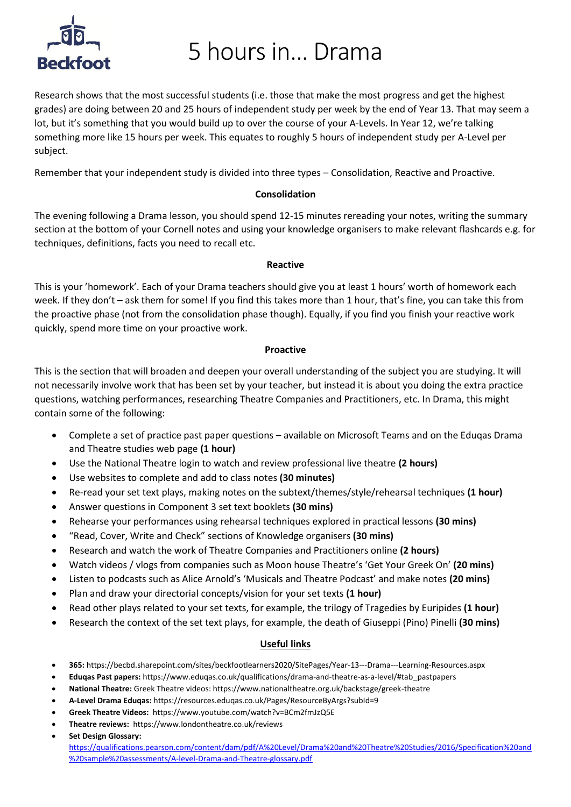# **Beckfoot**

5 hours in… Drama

Research shows that the most successful students (i.e. those that make the most progress and get the highest grades) are doing between 20 and 25 hours of independent study per week by the end of Year 13. That may seem a lot, but it's something that you would build up to over the course of your A-Levels. In Year 12, we're talking something more like 15 hours per week. This equates to roughly 5 hours of independent study per A-Level per subject.

Remember that your independent study is divided into three types – Consolidation, Reactive and Proactive.

### **Consolidation**

The evening following a Drama lesson, you should spend 12-15 minutes rereading your notes, writing the summary section at the bottom of your Cornell notes and using your knowledge organisers to make relevant flashcards e.g. for techniques, definitions, facts you need to recall etc.

### **Reactive**

This is your 'homework'. Each of your Drama teachers should give you at least 1 hours' worth of homework each week. If they don't – ask them for some! If you find this takes more than 1 hour, that's fine, you can take this from the proactive phase (not from the consolidation phase though). Equally, if you find you finish your reactive work quickly, spend more time on your proactive work.

### **Proactive**

This is the section that will broaden and deepen your overall understanding of the subject you are studying. It will not necessarily involve work that has been set by your teacher, but instead it is about you doing the extra practice questions, watching performances, researching Theatre Companies and Practitioners, etc. In Drama, this might contain some of the following:

- Complete a set of practice past paper questions available on Microsoft Teams and on the Eduqas Drama and Theatre studies web page **(1 hour)**
- Use the National Theatre login to watch and review professional live theatre **(2 hours)**
- Use websites to complete and add to class notes **(30 minutes)**
- Re-read your set text plays, making notes on the subtext/themes/style/rehearsal techniques **(1 hour)**
- Answer questions in Component 3 set text booklets **(30 mins)**
- Rehearse your performances using rehearsal techniques explored in practical lessons **(30 mins)**
- "Read, Cover, Write and Check" sections of Knowledge organisers **(30 mins)**
- Research and watch the work of Theatre Companies and Practitioners online **(2 hours)**
- Watch videos / vlogs from companies such as Moon house Theatre's 'Get Your Greek On' **(20 mins)**
- Listen to podcasts such as Alice Arnold's 'Musicals and Theatre Podcast' and make notes **(20 mins)**
- Plan and draw your directorial concepts/vision for your set texts **(1 hour)**
- Read other plays related to your set texts, for example, the trilogy of Tragedies by Euripides **(1 hour)**
- Research the context of the set text plays, for example, the death of Giuseppi (Pino) Pinelli **(30 mins)**

### **Useful links**

- **365:** https://becbd.sharepoint.com/sites/beckfootlearners2020/SitePages/Year-13---Drama---Learning-Resources.aspx
- **Eduqas Past papers:** https://www.eduqas.co.uk/qualifications/drama-and-theatre-as-a-level/#tab\_pastpapers
- **National Theatre:** Greek Theatre videos: https://www.nationaltheatre.org.uk/backstage/greek-theatre
- **A-Level Drama Eduqas:** https://resources.eduqas.co.uk/Pages/ResourceByArgs?subId=9
- **Greek Theatre Videos:** https://www.youtube.com/watch?v=BCm2fmJzQ5E
- **Theatre reviews:** https://www.londontheatre.co.uk/reviews
- **Set Design Glossary:**

https://qualifications.pearson.com/content/dam/pdf/A%20Level/Drama%20and%20Theatre%20Studies/2016/Specification%20and %20sample%20assessments/A-level-Drama-and-Theatre-glossary.pdf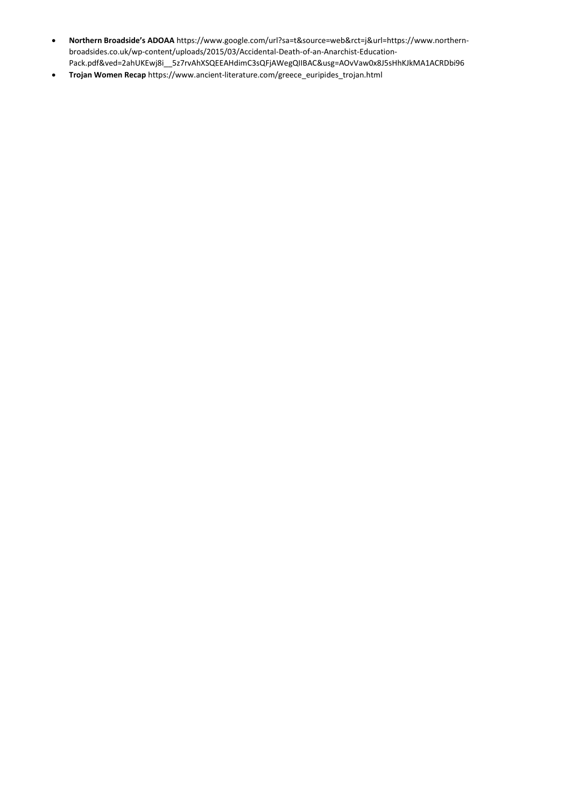- **Northern Broadside's ADOAA** https://www.google.com/url?sa=t&source=web&rct=j&url=https://www.northernbroadsides.co.uk/wp-content/uploads/2015/03/Accidental-Death-of-an-Anarchist-Education-Pack.pdf&ved=2ahUKEwj8i\_\_5z7rvAhXSQEEAHdimC3sQFjAWegQIIBAC&usg=AOvVaw0x8J5sHhKJkMA1ACRDbi96
- **Trojan Women Recap** https://www.ancient-literature.com/greece\_euripides\_trojan.html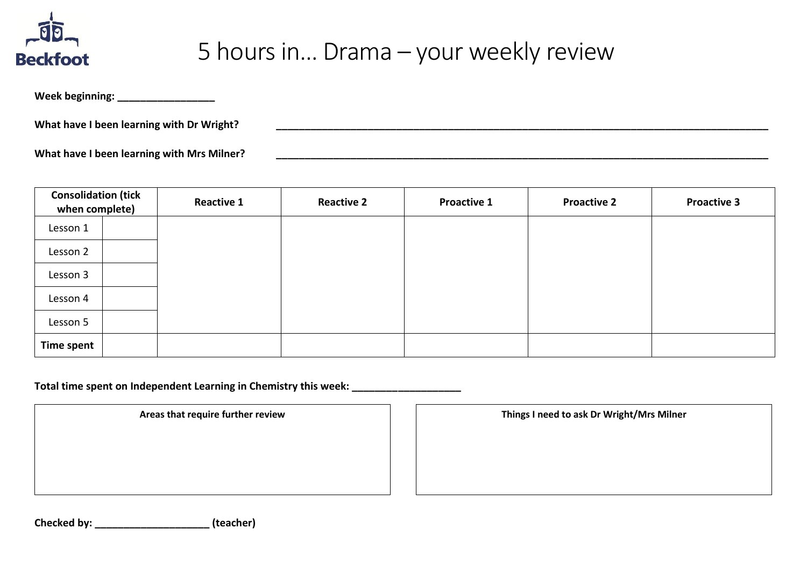

### 5 hours in… Drama – your weekly review

**Week beginning: \_\_\_\_\_\_\_\_\_\_\_\_\_\_\_\_\_**

**What have I been learning with Dr Wright? \_\_\_\_\_\_\_\_\_\_\_\_\_\_\_\_\_\_\_\_\_\_\_\_\_\_\_\_\_\_\_\_\_\_\_\_\_\_\_\_\_\_\_\_\_\_\_\_\_\_\_\_\_\_\_\_\_\_\_\_\_\_\_\_\_\_\_\_\_\_\_\_\_\_\_\_\_\_\_\_\_\_\_\_\_\_**

**What have I been learning with Mrs Milner? \_\_\_\_\_\_\_\_\_\_\_\_\_\_\_\_\_\_\_\_\_\_\_\_\_\_\_\_\_\_\_\_\_\_\_\_\_\_\_\_\_\_\_\_\_\_\_\_\_\_\_\_\_\_\_\_\_\_\_\_\_\_\_\_\_\_\_\_\_\_\_\_\_\_\_\_\_\_\_\_\_\_\_\_\_\_**

| <b>Consolidation (tick</b><br>when complete) |  | <b>Reactive 1</b> | <b>Reactive 2</b> | <b>Proactive 1</b> | <b>Proactive 2</b> | <b>Proactive 3</b> |
|----------------------------------------------|--|-------------------|-------------------|--------------------|--------------------|--------------------|
| Lesson 1                                     |  |                   |                   |                    |                    |                    |
| Lesson 2                                     |  |                   |                   |                    |                    |                    |
| Lesson 3                                     |  |                   |                   |                    |                    |                    |
| Lesson 4                                     |  |                   |                   |                    |                    |                    |
| Lesson 5                                     |  |                   |                   |                    |                    |                    |
| Time spent                                   |  |                   |                   |                    |                    |                    |

**Total time spent on Independent Learning in Chemistry this week: \_\_\_\_\_\_\_\_\_\_\_\_\_\_\_\_\_\_\_**

**Areas that require further review Things I need to ask Dr Wright/Mrs Milner**

**Checked by: \_\_\_\_\_\_\_\_\_\_\_\_\_\_\_\_\_\_\_\_ (teacher)**